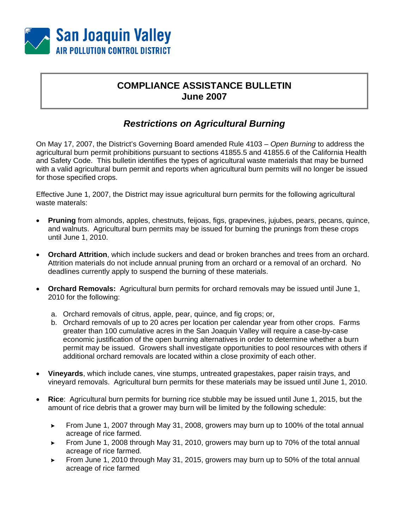

## **COMPLIANCE ASSISTANCE BULLETIN June 2007**

## *Restrictions on Agricultural Burning*

On May 17, 2007, the District's Governing Board amended Rule 4103 – *Open Burning* to address the agricultural burn permit prohibitions pursuant to sections 41855.5 and 41855.6 of the California Health and Safety Code. This bulletin identifies the types of agricultural waste materials that may be burned with a valid agricultural burn permit and reports when agricultural burn permits will no longer be issued for those specified crops.

Effective June 1, 2007, the District may issue agricultural burn permits for the following agricultural waste materals:

- **Pruning** from almonds, apples, chestnuts, feijoas, figs, grapevines, jujubes, pears, pecans, quince, and walnuts. Agricultural burn permits may be issued for burning the prunings from these crops until June 1, 2010.
- **Orchard Attrition**, which include suckers and dead or broken branches and trees from an orchard. Attrition materials do not include annual pruning from an orchard or a removal of an orchard. No deadlines currently apply to suspend the burning of these materials.
- **Orchard Removals:** Agricultural burn permits for orchard removals may be issued until June 1, 2010 for the following:
	- a. Orchard removals of citrus, apple, pear, quince, and fig crops; or,
	- b. Orchard removals of up to 20 acres per location per calendar year from other crops. Farms greater than 100 cumulative acres in the San Joaquin Valley will require a case-by-case economic justification of the open burning alternatives in order to determine whether a burn permit may be issued. Growers shall investigate opportunities to pool resources with others if additional orchard removals are located within a close proximity of each other.
- **Vineyards**, which include canes, vine stumps, untreated grapestakes, paper raisin trays, and vineyard removals. Agricultural burn permits for these materials may be issued until June 1, 2010.
- **Rice**: Agricultural burn permits for burning rice stubble may be issued until June 1, 2015, but the amount of rice debris that a grower may burn will be limited by the following schedule:
	- From June 1, 2007 through May 31, 2008, growers may burn up to 100% of the total annual acreage of rice farmed.
	- From June 1, 2008 through May 31, 2010, growers may burn up to 70% of the total annual acreage of rice farmed.
	- From June 1, 2010 through May 31, 2015, growers may burn up to 50% of the total annual acreage of rice farmed